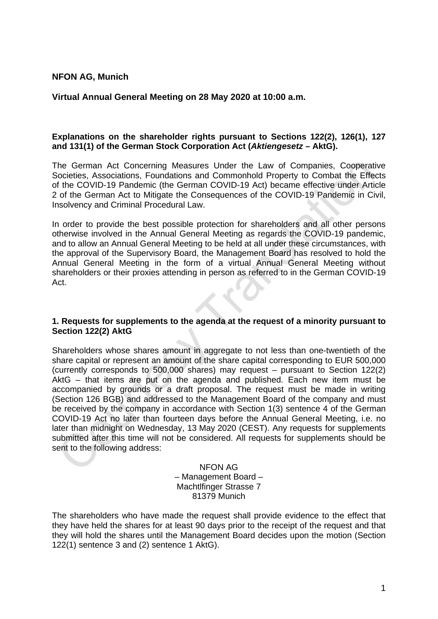## **NFON AG, Munich**

## **Virtual Annual General Meeting on 28 May 2020 at 10:00 a.m.**

## **Explanations on the shareholder rights pursuant to Sections 122(2), 126(1), 127 and 131(1) of the German Stock Corporation Act (***Aktiengesetz* **– AktG).**

The German Act Concerning Measures Under the Law of Companies, Cooperative Societies, Associations, Foundations and Commonhold Property to Combat the Effects of the COVID-19 Pandemic (the German COVID-19 Act) became effective under Article 2 of the German Act to Mitigate the Consequences of the COVID-19 Pandemic in Civil, Insolvency and Criminal Procedural Law.

In order to provide the best possible protection for shareholders and all other persons otherwise involved in the Annual General Meeting as regards the COVID-19 pandemic, and to allow an Annual General Meeting to be held at all under these circumstances, with the approval of the Supervisory Board, the Management Board has resolved to hold the Annual General Meeting in the form of a virtual Annual General Meeting without shareholders or their proxies attending in person as referred to in the German COVID-19 Act.

#### **1. Requests for supplements to the agenda at the request of a minority pursuant to Section 122(2) AktG**

Shareholders whose shares amount in aggregate to not less than one-twentieth of the share capital or represent an amount of the share capital corresponding to EUR 500,000 (currently corresponds to 500,000 shares) may request – pursuant to Section 122(2) AktG – that items are put on the agenda and published. Each new item must be accompanied by grounds or a draft proposal. The request must be made in writing (Section 126 BGB) and addressed to the Management Board of the company and must be received by the company in accordance with Section 1(3) sentence 4 of the German COVID-19 Act no later than fourteen days before the Annual General Meeting, i.e. no later than midnight on Wednesday, 13 May 2020 (CEST). Any requests for supplements submitted after this time will not be considered. All requests for supplements should be sent to the following address:

> NFON AG – Management Board – Machtlfinger Strasse 7 81379 Munich

The shareholders who have made the request shall provide evidence to the effect that they have held the shares for at least 90 days prior to the receipt of the request and that they will hold the shares until the Management Board decides upon the motion (Section 122(1) sentence 3 and (2) sentence 1 AktG).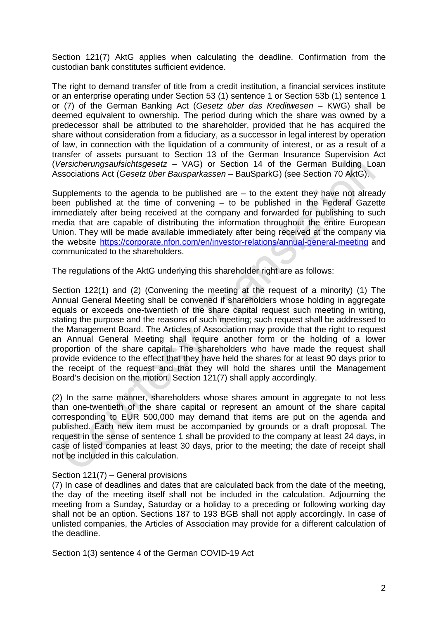Section 121(7) AktG applies when calculating the deadline. Confirmation from the custodian bank constitutes sufficient evidence.

The right to demand transfer of title from a credit institution, a financial services institute or an enterprise operating under Section 53 (1) sentence 1 or Section 53b (1) sentence 1 or (7) of the German Banking Act (*Gesetz über das Kreditwesen* – KWG) shall be deemed equivalent to ownership. The period during which the share was owned by a predecessor shall be attributed to the shareholder, provided that he has acquired the share without consideration from a fiduciary, as a successor in legal interest by operation of law, in connection with the liquidation of a community of interest, or as a result of a transfer of assets pursuant to Section 13 of the German Insurance Supervision Act (*Versicherungsaufsichtsgesetz* – VAG) or Section 14 of the German Building Loan Associations Act (*Gesetz über Bausparkassen* – BauSparkG) (see Section 70 AktG).

Supplements to the agenda to be published are – to the extent they have not already been published at the time of convening – to be published in the Federal Gazette immediately after being received at the company and forwarded for publishing to such media that are capable of distributing the information throughout the entire European Union. They will be made available immediately after being received at the company via the website [https://corporate.nfon.com/en/investor-relations/annual-general-meeting](https://corporate.nfon.com/de/investor-relations/hauptversammlung/) and communicated to the shareholders.

The regulations of the AktG underlying this shareholder right are as follows:

Section 122(1) and (2) (Convening the meeting at the request of a minority) (1) The Annual General Meeting shall be convened if shareholders whose holding in aggregate equals or exceeds one-twentieth of the share capital request such meeting in writing, stating the purpose and the reasons of such meeting; such request shall be addressed to the Management Board. The Articles of Association may provide that the right to request an Annual General Meeting shall require another form or the holding of a lower proportion of the share capital. The shareholders who have made the request shall provide evidence to the effect that they have held the shares for at least 90 days prior to the receipt of the request and that they will hold the shares until the Management Board's decision on the motion. Section 121(7) shall apply accordingly.

(2) In the same manner, shareholders whose shares amount in aggregate to not less than one-twentieth of the share capital or represent an amount of the share capital corresponding to EUR 500,000 may demand that items are put on the agenda and published. Each new item must be accompanied by grounds or a draft proposal. The request in the sense of sentence 1 shall be provided to the company at least 24 days, in case of listed companies at least 30 days, prior to the meeting; the date of receipt shall not be included in this calculation.

### Section 121(7) – General provisions

(7) In case of deadlines and dates that are calculated back from the date of the meeting, the day of the meeting itself shall not be included in the calculation. Adjourning the meeting from a Sunday, Saturday or a holiday to a preceding or following working day shall not be an option. Sections 187 to 193 BGB shall not apply accordingly. In case of unlisted companies, the Articles of Association may provide for a different calculation of the deadline.

Section 1(3) sentence 4 of the German COVID-19 Act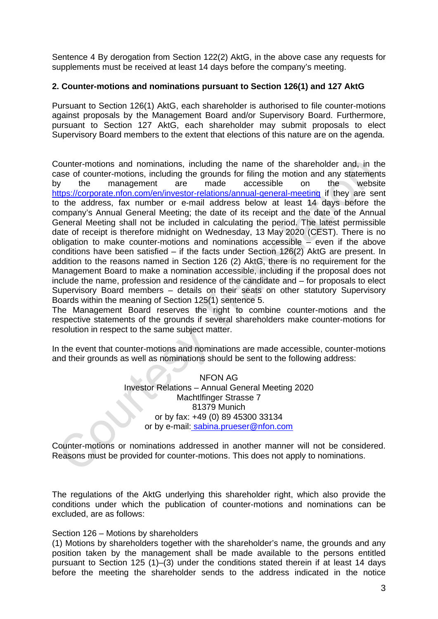Sentence 4 By derogation from Section 122(2) AktG, in the above case any requests for supplements must be received at least 14 days before the company's meeting.

# **2. Counter-motions and nominations pursuant to Section 126(1) and 127 AktG**

Pursuant to Section 126(1) AktG, each shareholder is authorised to file counter-motions against proposals by the Management Board and/or Supervisory Board. Furthermore, pursuant to Section 127 AktG, each shareholder may submit proposals to elect Supervisory Board members to the extent that elections of this nature are on the agenda.

Counter-motions and nominations, including the name of the shareholder and, in the case of counter-motions, including the grounds for filing the motion and any statements by the management are made accessible on the website [https://corporate.nfon.com/en/investor-relations/annual-general-meeting](https://corporate.nfon.com/de/investor-relations/hauptversammlung/) if they are sent to the address, fax number or e-mail address below at least 14 days before the company's Annual General Meeting; the date of its receipt and the date of the Annual General Meeting shall not be included in calculating the period. The latest permissible date of receipt is therefore midnight on Wednesday, 13 May 2020 (CEST). There is no obligation to make counter-motions and nominations accessible – even if the above conditions have been satisfied – if the facts under Section 126(2) AktG are present. In addition to the reasons named in Section 126 (2) AktG, there is no requirement for the Management Board to make a nomination accessible, including if the proposal does not include the name, profession and residence of the candidate and – for proposals to elect Supervisory Board members – details on their seats on other statutory Supervisory Boards within the meaning of Section 125(1) sentence 5.

The Management Board reserves the right to combine counter-motions and the respective statements of the grounds if several shareholders make counter-motions for resolution in respect to the same subject matter.

In the event that counter-motions and nominations are made accessible, counter-motions and their grounds as well as nominations should be sent to the following address:

> NFON AG Investor Relations – Annual General Meeting 2020 Machtlfinger Strasse 7 81379 Munich or by fax: +49 (0) 89 45300 33134 or by e-mail: [sabina.prueser@nfon.com](mailto:sabina.prueser@nfon.com)

Counter-motions or nominations addressed in another manner will not be considered. Reasons must be provided for counter-motions. This does not apply to nominations.

The regulations of the AktG underlying this shareholder right, which also provide the conditions under which the publication of counter-motions and nominations can be excluded, are as follows:

#### Section 126 – Motions by shareholders

(1) Motions by shareholders together with the shareholder's name, the grounds and any position taken by the management shall be made available to the persons entitled pursuant to Section 125 (1)–(3) under the conditions stated therein if at least 14 days before the meeting the shareholder sends to the address indicated in the notice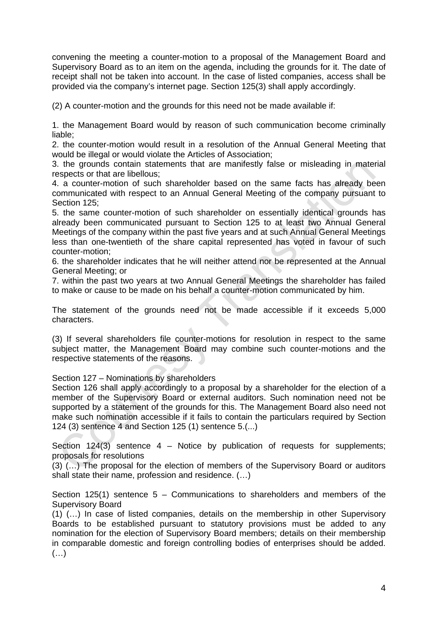convening the meeting a counter-motion to a proposal of the Management Board and Supervisory Board as to an item on the agenda, including the grounds for it. The date of receipt shall not be taken into account. In the case of listed companies, access shall be provided via the company's internet page. Section 125(3) shall apply accordingly.

(2) A counter-motion and the grounds for this need not be made available if:

1. the Management Board would by reason of such communication become criminally liable;

2. the counter-motion would result in a resolution of the Annual General Meeting that would be illegal or would violate the Articles of Association;

3. the grounds contain statements that are manifestly false or misleading in material respects or that are libellous;

4. a counter-motion of such shareholder based on the same facts has already been communicated with respect to an Annual General Meeting of the company pursuant to Section 125;

5. the same counter-motion of such shareholder on essentially identical grounds has already been communicated pursuant to Section 125 to at least two Annual General Meetings of the company within the past five years and at such Annual General Meetings less than one-twentieth of the share capital represented has voted in favour of such counter-motion;

6. the shareholder indicates that he will neither attend nor be represented at the Annual General Meeting; or

7. within the past two years at two Annual General Meetings the shareholder has failed to make or cause to be made on his behalf a counter-motion communicated by him.

The statement of the grounds need not be made accessible if it exceeds 5,000 characters.

(3) If several shareholders file counter-motions for resolution in respect to the same subject matter, the Management Board may combine such counter-motions and the respective statements of the reasons.

Section 127 – Nominations by shareholders

Section 126 shall apply accordingly to a proposal by a shareholder for the election of a member of the Supervisory Board or external auditors. Such nomination need not be supported by a statement of the grounds for this. The Management Board also need not make such nomination accessible if it fails to contain the particulars required by Section 124 (3) sentence 4 and Section 125 (1) sentence 5.(...)

Section  $124(3)$  sentence  $4$  – Notice by publication of requests for supplements; proposals for resolutions

(3) (…) The proposal for the election of members of the Supervisory Board or auditors shall state their name, profession and residence. (…)

Section 125(1) sentence  $5 -$  Communications to shareholders and members of the Supervisory Board

(1) (…) In case of listed companies, details on the membership in other Supervisory Boards to be established pursuant to statutory provisions must be added to any nomination for the election of Supervisory Board members; details on their membership in comparable domestic and foreign controlling bodies of enterprises should be added.  $($ ...)